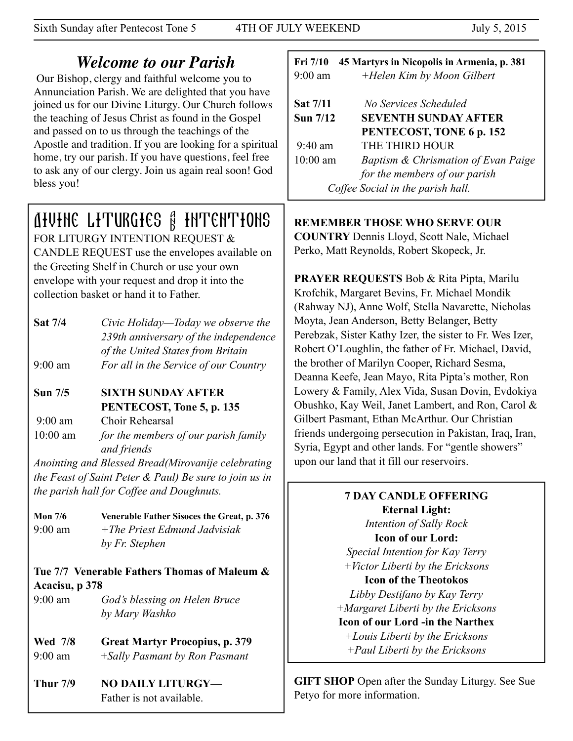Sixth Sunday after Pentecost Tone 5 4TH OF JULY WEEKEND July 5, 2015

# *Welcome to our Parish*

 Our Bishop, clergy and faithful welcome you to Annunciation Parish. We are delighted that you have joined us for our Divine Liturgy. Our Church follows the teaching of Jesus Christ as found in the Gospel and passed on to us through the teachings of the Apostle and tradition. If you are looking for a spiritual home, try our parish. If you have questions, feel free to ask any of our clergy. Join us again real soon! God bless you!

# Divine Liturgies & Intentions

FOR LITURGY INTENTION REQUEST & CANDLE REQUEST use the envelopes available on the Greeting Shelf in Church or use your own envelope with your request and drop it into the collection basket or hand it to Father.

- **Sat 7/4** *Civic Holiday—Today we observe the 239th anniversary of the independence of the United States from Britain*  9:00 am *For all in the Service of our Country*
- **Sun 7/5 SIXTH SUNDAY AFTER PENTECOST, Tone 5, p. 135**

9:00 am Choir Rehearsal

10:00 am *for the members of our parish family and friends* 

*Anointing and Blessed Bread(Mirovanije celebrating the Feast of Saint Peter & Paul) Be sure to join us in the parish hall for Coffee and Doughnuts.*

**Mon 7/6 Venerable Father Sisoces the Great, p. 376** 9:00 am *+The Priest Edmund Jadvisiak by Fr. Stephen*

# **Tue 7/7 Venerable Fathers Thomas of Maleum & Acacisu, p 378**

9:00 am *God's blessing on Helen Bruce by Mary Washko*

#### **Wed 7/8 Great Martyr Procopius, p. 379** 9:00 am +*Sally Pasmant by Ron Pasmant*

Thur 7/9 NO DAILY LITURGY-Father is not available.

# **Fri 7/10 45 Martyrs in Nicopolis in Armenia, p. 381** 9:00 am *+Helen Kim by Moon Gilbert* **Sat 7/11** *No Services Scheduled*  **Sun 7/12 SEVENTH SUNDAY AFTER PENTECOST, TONE 6 p. 152**  9:40 am THE THIRD HOUR 10:00 am *Baptism & Chrismation of Evan Paige for the members of our parish Coffee Social in the parish hall.*

**REMEMBER THOSE WHO SERVE OUR** 

**COUNTRY** Dennis Lloyd, Scott Nale, Michael Perko, Matt Reynolds, Robert Skopeck, Jr.

**PRAYER REQUESTS** Bob & Rita Pipta, Marilu Krofchik, Margaret Bevins, Fr. Michael Mondik (Rahway NJ), Anne Wolf, Stella Navarette, Nicholas Moyta, Jean Anderson, Betty Belanger, Betty Perebzak, Sister Kathy Izer, the sister to Fr. Wes Izer, Robert O'Loughlin, the father of Fr. Michael, David, the brother of Marilyn Cooper, Richard Sesma, Deanna Keefe, Jean Mayo, Rita Pipta's mother, Ron Lowery & Family, Alex Vida, Susan Dovin, Evdokiya Obushko, Kay Weil, Janet Lambert, and Ron, Carol & Gilbert Pasmant, Ethan McArthur. Our Christian friends undergoing persecution in Pakistan, Iraq, Iran, Syria, Egypt and other lands. For "gentle showers" upon our land that it fill our reservoirs.

# **7 DAY CANDLE OFFERING Eternal Light:**

*Intention of Sally Rock*  **Icon of our Lord:** 

*Special Intention for Kay Terry +Victor Liberti by the Ericksons* 

# **Icon of the Theotokos**

*Libby Destifano by Kay Terry +Margaret Liberti by the Ericksons* 

## **Icon of our Lord -in the Narthex**

*+Louis Liberti by the Ericksons +Paul Liberti by the Ericksons* 

**GIFT SHOP** Open after the Sunday Liturgy. See Sue Petyo for more information.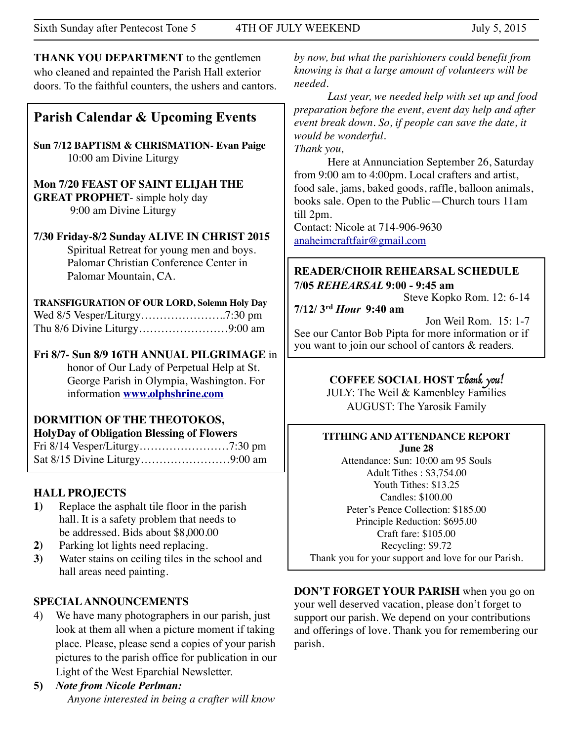**THANK YOU DEPARTMENT** to the gentlemen who cleaned and repainted the Parish Hall exterior doors. To the faithful counters, the ushers and cantors.

# **Parish Calendar & Upcoming Events**

**Sun 7/12 BAPTISM & CHRISMATION- Evan Paige** 10:00 am Divine Liturgy

**Mon 7/20 FEAST OF SAINT ELIJAH THE GREAT PROPHET**- simple holy day 9:00 am Divine Liturgy

**7/30 Friday-8/2 Sunday ALIVE IN CHRIST 2015**  Spiritual Retreat for young men and boys. Palomar Christian Conference Center in Palomar Mountain, CA.

**TRANSFIGURATION OF OUR LORD, Solemn Holy Day** Wed 8/5 Vesper/Liturgy…………………..7:30 pm Thu 8/6 Divine Liturgy……………………9:00 am

**Fri 8/7- Sun 8/9 16TH ANNUAL PILGRIMAGE** in honor of Our Lady of Perpetual Help at St. George Parish in Olympia, Washington. For information **[www.olphshrine.com](http://www.olphshrine.com)**

#### **DORMITION OF THE THEOTOKOS, HolyDay of Obligation Blessing of Flowers**

Fri 8/14 Vesper/Liturgy……………………7:30 pm Sat 8/15 Divine Liturgy……………………9:00 am

# **HALL PROJECTS**

- **1)** Replace the asphalt tile floor in the parish hall. It is a safety problem that needs to be addressed. Bids about \$8,000.00
- **2)** Parking lot lights need replacing.
- **3)** Water stains on ceiling tiles in the school and hall areas need painting.

# **SPECIAL ANNOUNCEMENTS**

- 4) We have many photographers in our parish, just look at them all when a picture moment if taking place. Please, please send a copies of your parish pictures to the parish office for publication in our Light of the West Eparchial Newsletter.
- **5)** *Note from Nicole Perlman: Anyone interested in being a crafter will know*

*by now, but what the parishioners could benefit from knowing is that a large amount of volunteers will be needed.* 

*Last year, we needed help with set up and food preparation before the event, event day help and after event break down. So, if people can save the date, it would be wonderful. Thank you,*

Here at Annunciation September 26, Saturday from 9:00 am to 4:00pm. Local crafters and artist, food sale, jams, baked goods, raffle, balloon animals, books sale. Open to the Public—Church tours 11am till 2pm.

Contact: Nicole at 714-906-9630 [anaheimcraftfair@gmail.com](mailto:anaheimcraftfair@gmail.com)

### **READER/CHOIR REHEARSAL SCHEDULE 7/05** *REHEARSAL* **9:00 - 9:45 am**

Steve Kopko Rom. 12: 6-14

**7/12/ 3rd** *Hour* **9:40 am**

 Jon Weil Rom. 15: 1-7 See our Cantor Bob Pipta for more information or if you want to join our school of cantors & readers.

# **COFFEE SOCIAL HOST** Thank you!

JULY: The Weil & Kamenbley Families AUGUST: The Yarosik Family

#### **TITHING AND ATTENDANCE REPORT June 28**

Attendance: Sun: 10:00 am 95 Souls Adult Tithes : \$3,754.00 Youth Tithes: \$13.25 Candles: \$100.00 Peter's Pence Collection: \$185.00 Principle Reduction: \$695.00 Craft fare: \$105.00 Recycling: \$9.72 Thank you for your support and love for our Parish.

**DON'T FORGET YOUR PARISH** when you go on your well deserved vacation, please don't forget to support our parish. We depend on your contributions and offerings of love. Thank you for remembering our parish.